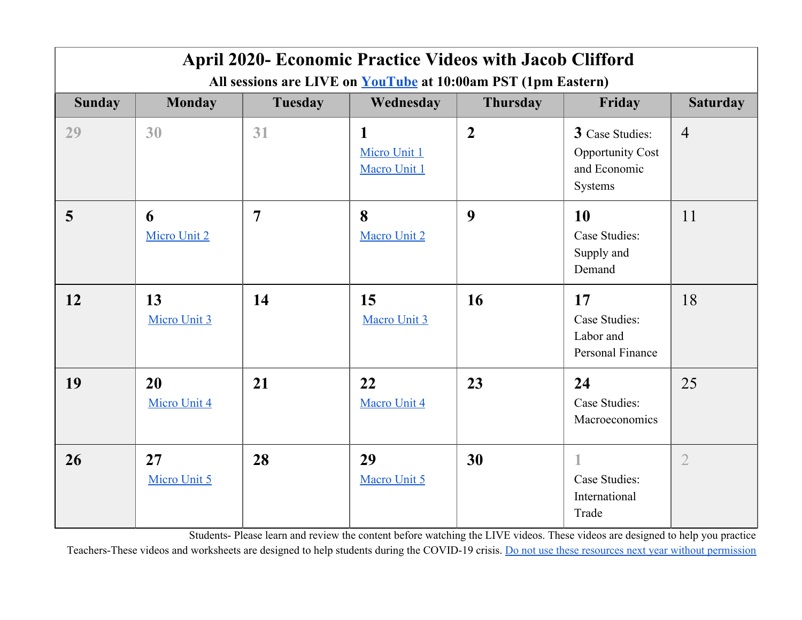| <b>April 2020- Economic Practice Videos with Jacob Clifford</b>      |                    |                |                                   |                 |                                                                       |                 |
|----------------------------------------------------------------------|--------------------|----------------|-----------------------------------|-----------------|-----------------------------------------------------------------------|-----------------|
| All sessions are LIVE on <b>YouTube</b> at 10:00am PST (1pm Eastern) |                    |                |                                   |                 |                                                                       |                 |
| <b>Sunday</b>                                                        | <b>Monday</b>      | <b>Tuesday</b> | Wednesday                         | <b>Thursday</b> | Friday                                                                | <b>Saturday</b> |
| 29                                                                   | 30                 | 31             | 1<br>Micro Unit 1<br>Macro Unit 1 | $\overline{2}$  | 3 Case Studies:<br><b>Opportunity Cost</b><br>and Economic<br>Systems | $\overline{4}$  |
| 5                                                                    | 6<br>Micro Unit 2  | $\overline{7}$ | 8<br>Macro Unit 2                 | 9               | <b>10</b><br>Case Studies:<br>Supply and<br>Demand                    | 11              |
| 12                                                                   | 13<br>Micro Unit 3 | 14             | 15<br>Macro Unit 3                | 16              | 17<br>Case Studies:<br>Labor and<br>Personal Finance                  | 18              |
| 19                                                                   | 20<br>Micro Unit 4 | 21             | 22<br>Macro Unit 4                | 23              | 24<br>Case Studies:<br>Macroeconomics                                 | 25              |
| 26                                                                   | 27<br>Micro Unit 5 | 28             | 29<br>Macro Unit 5                | 30              | Case Studies:<br>International<br>Trade                               | $\overline{2}$  |

Students- Please learn and review the content before watching the LIVE videos. These videos are designed to help you practice

Teachers-These videos and worksheets are designed to help students during the COVID-19 crisis. Do not use these resources next year without [permission](https://www.acdcecon.com/ap-econ-worksheets)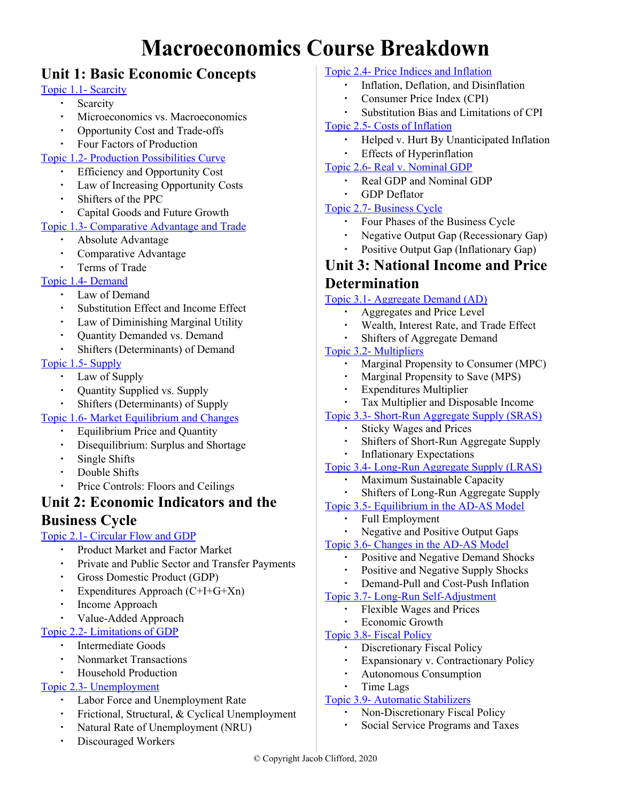# **Macroeconomics Course Breakdown**

# **Unit 1: Basic Economic Concepts**

#### Topic 1.1- [Scarcity](https://youtu.be/deUqLLiu_CI)

- Scarcity
- Microeconomics vs. Macroeconomics
- Opportunity Cost and Trade-offs
- Four Factors of Production

#### Topic 1.2- Production [Possibilities](https://youtu.be/4UbKAlMTL7c) Curve

- Efficiency and Opportunity Cost
- Law of Increasing Opportunity Costs
- Shifters of the PPC
- Capital Goods and Future Growth

#### Topic 1.3- [Comparative](https://youtu.be/XTEb98PY0XA) Advantage and Trade

- Absolute Advantage
- Comparative Advantage
- Terms of Trade

#### Topic 1.4- [Demand](https://youtu.be/LwLh6ax0zTE)

- Law of Demand
- Substitution Effect and Income Effect
- Law of Diminishing Marginal Utility
- Quantity Demanded vs. Demand
- Shifters (Determinants) of Demand

#### Topic 1.5- [Supply](https://youtu.be/ewPNugIqCUM)

- Law of Supply
- Quantity Supplied vs. Supply
- Shifters (Determinants) of Supply

#### Topic 1.6- Market [Equilibrium](https://youtu.be/V0tIOqU7m-c) and Changes

- **•** Equilibrium Price and Quantity
- Disequilibrium: Surplus and Shortage
- Single Shifts
- Double Shifts
- Price Controls: Floors and Ceilings

## **Unit 2: Economic Indicators and the**

### **Business Cycle**

#### Topic 2.1- [Circular](https://youtu.be/BnrBRuoVefY) Flow and GDP

- Product Market and Factor Market
- Private and Public Sector and Transfer Payments
- Gross Domestic Product (GDP)
- Expenditures Approach  $(C+I+G+Xn)$
- Income Approach

#### ▪ Value-Added Approach

- Topic 2.2- [Limitations](https://youtu.be/2YxVvhbgV1I) of GDP
	- Intermediate Goods
	- Nonmarket Transactions
	- **Household Production**

#### Topic 2.3- [Unemployment](https://www.youtube.com/watch?v=ZckAN1KYB5I)

- Labor Force and Unemployment Rate
- **•** Frictional, Structural, & Cyclical Unemployment
- Natural Rate of Unemployment (NRU)
- Discouraged Workers

#### Topic 2.4- Price Indices and [Inflation](https://youtu.be/JW7IQ45_up8)

- Inflation, Deflation, and Disinflation
- Consumer Price Index (CPI)
- Substitution Bias and Limitations of CPI

#### Topic 2.5- Costs of [Inflation](https://www.youtube.com/watch?v=V41_kZuOE0w)

- Helped v. Hurt By Unanticipated Inflation
- Effects of Hyperinflation

#### Topic 2.6- Real v. [Nominal](https://youtu.be/iV4DS9aAQqM) GDP

- Real GDP and Nominal GDP
- **GDP** Deflator

#### Topic 2.7- [Business](https://youtu.be/he1l35tyDjs) Cycle

- Four Phases of the Business Cycle
- Negative Output Gap (Recessionary Gap)
- Positive Output Gap (Inflationary Gap)

### **Unit 3: National Income and Price Determination**

#### Topic 3.1- [Aggregate](https://www.youtube.com/watch?v=l6Udc6uDX8o&list=PLBC35DEA1D1A98034&index=3) Demand (AD)

- Aggregates and Price Level
	- Wealth, Interest Rate, and Trade Effect
- Shifters of Aggregate Demand

#### Topic 3.2- [Multipliers](https://youtu.be/RqWYmQQzXxs)

- Marginal Propensity to Consumer (MPC)
- Marginal Propensity to Save (MPS)
- **Expenditures Multiplier**
- Tax Multiplier and Disposable Income
- Topic 3.3- [Short-Run](https://youtu.be/UwAQRnpVMzI) Aggregate Supply (SRAS)
	- **Sticky Wages and Prices**
	- Shifters of Short-Run Aggregate Supply
	- **Inflationary Expectations**

#### Topic 3.4- Long-Run [Aggregate](https://youtu.be/a2azB2eag5I) Supply (LRAS)

- Maximum Sustainable Capacity
- Shifters of Long-Run Aggregate Supply
- Topic 3.5- [Equilibrium](https://youtu.be/MjpSKZoQDoY) in the AD-AS Model
	- **Full Employment**
	- Negative and Positive Output Gaps

#### Topic 3.6- [Changes](https://youtu.be/MjpSKZoQDoY) in the AD-AS Model

- Positive and Negative Demand Shocks
- Positive and Negative Supply Shocks
- Demand-Pull and Cost-Push Inflation
- Topic 3.7- Long-Run [Self-Adjustment](https://youtu.be/VcO5Rgvos1k)
	- Flexible Wages and Prices
	- Economic Growth

#### Topic 3.8- Fiscal [Policy](https://youtu.be/pOQWm4hS5uI)

- Discretionary Fiscal Policy
- Expansionary v. Contractionary Policy
- **Autonomous Consumption**

#### ▪ Time Lags

#### Topic 3.9- [Automatic](https://youtu.be/TY3JoxcyPAM) Stabilizers

- Non-Discretionary Fiscal Policy
- Social Service Programs and Taxes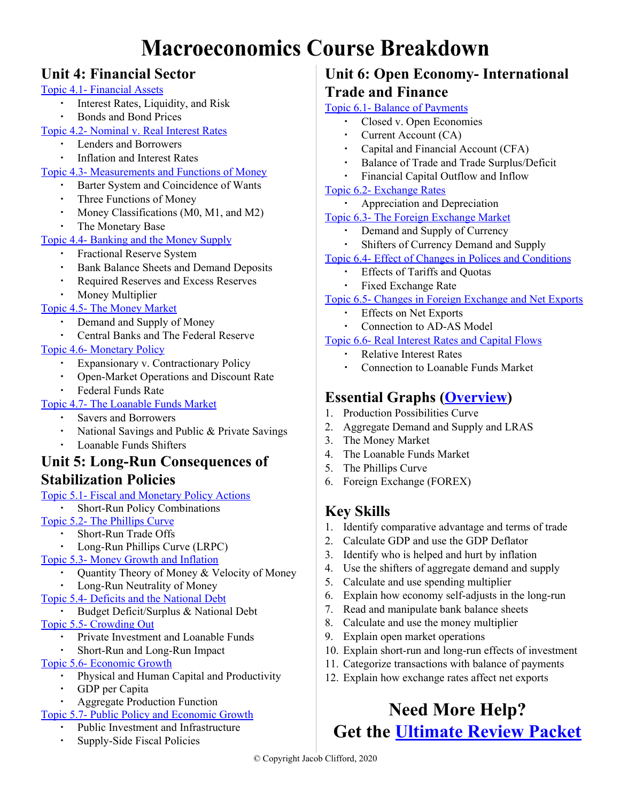# **Macroeconomics Course Breakdown**

# **Unit 4: Financial Sector**

#### Topic 4.1- [Financial](https://www.youtube.com/watch?v=kR_4_a5R3Co) Assets

- Interest Rates, Liquidity, and Risk
- **Bonds** and Bond Prices
- Topic 4.2- [Nominal](https://www.youtube.com/watch?v=raDU_4M2uLg&list=PLD7C33AB80B405B9A&index=4) v. Real Interest Rates
	- Lenders and Borrowers
	- Inflation and Interest Rates
- Topic 4.3- [Measurements](https://www.youtube.com/watch?v=DjTs-rjVkB8) and Functions of Money
	- Barter System and Coincidence of Wants
	- Three Functions of Money
	- Money Classifications (M0, M1, and M2)
	- The Monetary Base

### Topic 4.4- [Banking](https://www.youtube.com/watch?v=JG5c8nhR3LE&list=PLD7C33AB80B405B9A&index=6) and the Money Supply

- Fractional Reserve System
- Bank Balance Sheets and Demand Deposits
- **Required Reserves and Excess Reserves**
- **Money Multiplier**

### Topic 4.5- The Money [Market](https://www.youtube.com/watch?v=vc7wmTT8m0M&list=PLD7C33AB80B405B9A&index=7)

- Demand and Supply of Money
- Central Banks and The Federal Reserve

### Topic 4.6- [Monetary](https://www.youtube.com/watch?v=4bxrGKRChf0&list=PLD7C33AB80B405B9A&index=10) Policy

- Expansionary v. Contractionary Policy
- Open-Market Operations and Discount Rate
- **Federal Funds Rate**

## Topic 4.7- The [Loanable](https://www.youtube.com/watch?v=hucfTz4sPfU&list=PLD7C33AB80B405B9A&index=12) Funds Market

- Savers and Borrowers
- National Savings and Public & Private Savings
- Loanable Funds Shifters

## **Unit 5: Long-Run Consequences of Stabilization Policies**

- Topic 5.1- Fiscal and [Monetary](https://www.youtube.com/watch?v=bv-uNNkE39I&list=PL04578C46EDAB7734) Policy Actions
	- **Short-Run Policy Combinations**

### Topic 5.2- The [Phillips](https://www.youtube.com/watch?v=zatnIhwmu1c&list=PL04578C46EDAB7734&index=2) Curve

- Short-Run Trade Offs
- Long-Run Phillips Curve (LRPC)
- Topic 5.3- Money Growth and [Inflation](https://www.youtube.com/watch?v=FdtBj1juEQs&list=PL04578C46EDAB7734&index=3)
	- Quantity Theory of Money & Velocity of Money
	- Long-Run Neutrality of Money
- Topic 5.4- Deficits and the [National](https://www.youtube.com/watch?v=3sUCSGVYzI0) Debt
- Budget Deficit/Surplus & National Debt Topic 5.5- [Crowding](https://www.youtube.com/watch?v=RGlt0nEQdRI) Out
	- Private Investment and Loanable Funds
	- Short-Run and Long-Run Impact

#### Topic 5.6- [Economic](https://www.youtube.com/watch?v=VcO5Rgvos1k&list=PL04578C46EDAB7734&index=5) Growth

- Physical and Human Capital and Productivity
- GDP per Capita
- **Aggregate Production Function**
- Topic 5.7- Public Policy and [Economic](https://www.youtube.com/watch?v=otmgFQHbaDo) Growth
	- Public Investment and Infrastructure
	- Supply-Side Fiscal Policies

# **Unit 6: Open Economy- International Trade and Finance**

### Topic 6.1- Balance of [Payments](https://www.youtube.com/watch?v=W0YwGLz50TA&list=PL1oDmcs0xTD-nSGgGIsmFDN-2O8PLHCs1&index=2)

- Closed v. Open Economies
- Current Account (CA)
- Capital and Financial Account (CFA)
- Balance of Trade and Trade Surplus/Deficit
- Financial Capital Outflow and Inflow

### Topic 6.2- [Exchange](https://www.youtube.com/watch?v=xwtgByffoUw) Rates

Appreciation and Depreciation

#### Topic 6.3- The Foreign [Exchange](https://www.youtube.com/watch?v=D41EuDh3epI&list=PL1oDmcs0xTD-nSGgGIsmFDN-2O8PLHCs1&index=3) Market

- Demand and Supply of Currency
- Shifters of Currency Demand and Supply

### Topic 6.4- Effect of Changes in Polices and [Conditions](https://www.youtube.com/watch?v=9DVYVfI81R8&list=PL1oDmcs0xTD-nSGgGIsmFDN-2O8PLHCs1&index=4)

- Effects of Tariffs and Quotas
- Fixed Exchange Rate

#### Topic 6.5- Changes in Foreign [Exchange](https://www.youtube.com/watch?v=9DVYVfI81R8&list=PL1oDmcs0xTD-nSGgGIsmFDN-2O8PLHCs1&index=4) and Net Exports

- Effects on Net Exports
- Connection to AD-AS Model

### Topic 6.6- Real [Interest](https://www.youtube.com/watch?v=la_UIZAkE-8&list=PL1oDmcs0xTD-nSGgGIsmFDN-2O8PLHCs1&index=5) Rates and Capital Flows

- **Relative Interest Rates**
- Connection to Loanable Funds Market

# **Essential Graphs ([Overview\)](https://www.youtube.com/watch?v=MKO1icFVtDc&t=2s)**

- 1. Production Possibilities Curve
- 2. Aggregate Demand and Supply and LRAS
- 3. The Money Market
- 4. The Loanable Funds Market
- 5. The Phillips Curve
- 6. Foreign Exchange (FOREX)

# **Key Skills**

- 1. Identify comparative advantage and terms of trade
- 2. Calculate GDP and use the GDP Deflator
- 3. Identify who is helped and hurt by inflation
- 4. Use the shifters of aggregate demand and supply
- 5. Calculate and use spending multiplier
- 6. Explain how economy self-adjusts in the long-run
- 7. Read and manipulate bank balance sheets
- 8. Calculate and use the money multiplier
- 9. Explain open market operations
- 10. Explain short-run and long-run effects of investment
- 11. Categorize transactions with balance of payments
- 12. Explain how exchange rates affect net exports

# **Need More Help? Get the [Ultimate Review Packet](https://www.acdcecon.com/review-packet)**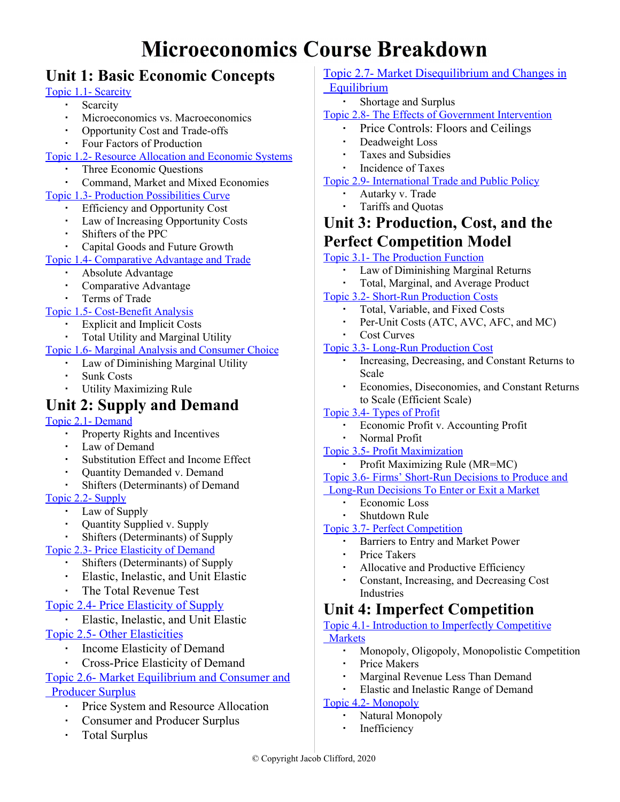# **Microeconomics Course Breakdown**

# **Unit 1: Basic Economic Concepts**

#### Topic 1.1- [Scarcity](https://www.youtube.com/watch?v=deUqLLiu_CI&list=PLA46DB4506062B62B&index=4)

- Scarcity
- Microeconomics vs. Macroeconomics
- Opportunity Cost and Trade-offs
- Four Factors of Production
- Topic 1.2- Resource [Allocation](https://www.youtube.com/watch?v=B43YEW2FvDs) and Economic Systems
	- Three Economic Questions
	- Command, Market and Mixed Economies
- Topic 1.3- Production [Possibilities](https://youtu.be/4UbKAlMTL7c) Curve
	- **Efficiency and Opportunity Cost**
	- Law of Increasing Opportunity Costs
	- Shifters of the PPC
	- Capital Goods and Future Growth

#### Topic 1.4- [Comparative](https://youtu.be/XTEb98PY0XA) Advantage and Trade

- Absolute Advantage
- Comparative Advantage
- Terms of Trade

#### Topic 1.5- [Cost-Benefit](https://www.youtube.com/watch?v=_MrbExMADls&list=PLA46DB4506062B62B&index=10) Analysis

- Explicit and Implicit Costs
- Total Utility and Marginal Utility

#### Topic 1.6- Marginal Analysis and [Consumer](https://www.youtube.com/watch?v=1exopHOl1jo&list=PLA46DB4506062B62B&index=11) Choice

- Law of Diminishing Marginal Utility
- **Sunk Costs**
- **Utility Maximizing Rule**

# **Unit 2: Supply and Demand**

#### Topic 2.1- [Demand](https://www.youtube.com/watch?v=LwLh6ax0zTE&list=PL6B2DBE4C2FC8F845&index=5)

- Property Rights and Incentives
- Law of Demand
- Substitution Effect and Income Effect
- Quantity Demanded v. Demand
- Shifters (Determinants) of Demand

#### Topic 2.2- [Supply](https://youtu.be/ewPNugIqCUM)

- Law of Supply
- Quantity Supplied v. Supply
- Shifters (Determinants) of Supply

#### Topic 2.3- Price [Elasticity](https://youtu.be/HHcblIxiAAk) of Demand

- Shifters (Determinants) of Supply
- Elastic, Inelastic, and Unit Elastic
- The Total Revenue Test

#### [Topic 2.4- Price Elasticity of Supply](https://youtu.be/nAT_shQGlIk)

- Elastic, Inelastic, and Unit Elastic
- [Topic 2.5- Other Elasticities](https://youtu.be/eylEJ8OKFKE)
	- Income Elasticity of Demand
	- Cross-Price Elasticity of Demand

#### [Topic 2.6- Market Equilibrium and Consumer and](https://youtu.be/CtCfwMmzOBU)  [Producer Surplus](https://youtu.be/CtCfwMmzOBU)

- **Price System and Resource Allocation**
- Consumer and Producer Surplus
- Total Surplus

#### [Topic 2.7- Market Disequilibrium and Changes in](https://youtu.be/XNtJK4h9Jik)  [Equilibrium](https://youtu.be/XNtJK4h9Jik)

▪ Shortage and Surplus

#### Topic 2.8- The Effects of [Government](https://youtu.be/1EzY4Vl460U) Intervention

- Price Controls: Floors and Ceilings
- Deadweight Loss
- Taxes and Subsidies
- **Incidence of Taxes**

#### Topic 2.9- [International](https://youtu.be/uCZ58OJjrFU) Trade and Public Policy

- Autarky v. Trade
- Tariffs and Quotas

## **Unit 3: Production, Cost, and the Perfect Competition Model**

#### Topic 3.1- The [Production](https://www.youtube.com/watch?v=xLSRMt-wWAM&list=PLE70CA726102FB294&index=3) Function

- Law of Diminishing Marginal Returns
- Total, Marginal, and Average Product

#### Topic 3.2- Short-Run [Production](https://youtu.be/ucJBO9UTmwo) Costs

- Total, Variable, and Fixed Costs
	- Per-Unit Costs (ATC, AVC, AFC, and MC)
- Cost Curves

#### Topic 3.3- Long-Run [Production](https://youtu.be/JdCgu1sOPDo) Cost

- Increasing, Decreasing, and Constant Returns to Scale
- Economies, Diseconomies, and Constant Returns to Scale (Efficient Scale)

#### Topic 3.4- [Types](https://youtu.be/a0nUWrnuUdo) of Profit

- Economic Profit v. Accounting Profit
- Normal Profit

#### Topic 3.5- Profit [Maximization](https://youtu.be/BQvtnjWZ0ig)

▪ Profit Maximizing Rule (MR=MC)

## Topic 3.6- Firms' [Short-Run](https://youtu.be/VFY2aJwpdNM) Decisions to Produce and

#### [Long-Run](https://youtu.be/VFY2aJwpdNM) Decisions To Enter or Exit a Market

- Economic Loss
- **Shutdown Rule**

#### Topic 3.7- Perfect [Competition](https://youtu.be/Z9e_7j9WzA0)

- Barriers to Entry and Market Power
- Price Takers
- Allocative and Productive Efficiency
- Constant, Increasing, and Decreasing Cost Industries

# **Unit 4: Imperfect Competition**

#### Topic 4.1- Introduction to Imperfectly [Competitive](https://www.youtube.com/watch?v=aboVjX-wbv4&list=PL6EB232876EAB5521&index=3) [Markets](https://www.youtube.com/watch?v=aboVjX-wbv4&list=PL6EB232876EAB5521&index=3)

- Monopoly, Oligopoly, Monopolistic Competition
- Price Makers
- Marginal Revenue Less Than Demand
- Elastic and Inelastic Range of Demand

#### Topic 4.2- [Monopoly](https://youtu.be/ZiuBWSFlfoU)

- Natural Monopoly
- **Inefficiency**